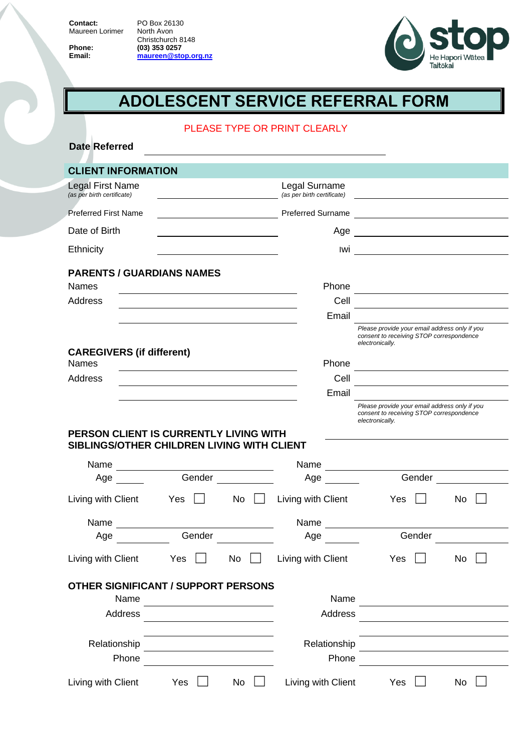**Contact:** Maureen Lorimer

PO Box 26130 North Avon Christchurch 8148 **Phone: (03) 353 0257 Email: [maureen@stop.org.nz](mailto:maureen@stop.org.nz)**



# **ADOLESCENT SERVICE REFERRAL FORM**

### PLEASE TYPE OR PRINT CLEARLY

| <b>Date Referred</b>                             |        |                                               |                                             |                                                                                           |                                                                                 |
|--------------------------------------------------|--------|-----------------------------------------------|---------------------------------------------|-------------------------------------------------------------------------------------------|---------------------------------------------------------------------------------|
| <b>CLIENT INFORMATION</b>                        |        |                                               |                                             |                                                                                           |                                                                                 |
| Legal First Name<br>(as per birth certificate)   |        |                                               | Legal Surname<br>(as per birth certificate) |                                                                                           |                                                                                 |
| <b>Preferred First Name</b>                      |        |                                               | <b>Preferred Surname</b>                    |                                                                                           |                                                                                 |
| Date of Birth                                    |        |                                               | Age                                         | <u> 1989 - Johann Barbara, martxa alemaniar a</u>                                         |                                                                                 |
| Ethnicity                                        |        |                                               |                                             | <u>lwi ___________________________________</u>                                            |                                                                                 |
|                                                  |        |                                               |                                             |                                                                                           |                                                                                 |
| <b>PARENTS / GUARDIANS NAMES</b><br><b>Names</b> |        |                                               | Phone                                       |                                                                                           |                                                                                 |
| Address                                          |        |                                               | Cell                                        |                                                                                           | the contract of the contract of the contract of the contract of the contract of |
|                                                  |        |                                               | Email                                       |                                                                                           |                                                                                 |
|                                                  |        |                                               |                                             | Please provide your email address only if you<br>consent to receiving STOP correspondence |                                                                                 |
| <b>CAREGIVERS (if different)</b>                 |        |                                               |                                             | electronically.                                                                           |                                                                                 |
| <b>Names</b>                                     |        |                                               | Phone                                       |                                                                                           |                                                                                 |
| <b>Address</b>                                   |        |                                               | Cell                                        |                                                                                           |                                                                                 |
|                                                  |        |                                               | Email                                       |                                                                                           |                                                                                 |
|                                                  |        |                                               |                                             | Please provide your email address only if you<br>consent to receiving STOP correspondence |                                                                                 |
| PERSON CLIENT IS CURRENTLY LIVING WITH           |        |                                               |                                             | electronically.                                                                           |                                                                                 |
| SIBLINGS/OTHER CHILDREN LIVING WITH CLIENT       |        |                                               |                                             |                                                                                           |                                                                                 |
| Name                                             |        |                                               | Name                                        |                                                                                           |                                                                                 |
| Age                                              |        | Gender <u>III</u>                             | Age $\_\_$                                  |                                                                                           | Gender                                                                          |
| Living with Client                               | Yes    | $No$ $\vert$ $\vert$                          | Living with Client                          | Yes $\vert \ \vert$                                                                       | No                                                                              |
| Name                                             |        |                                               | Name                                        | <u> 1999 - Jan Jawa</u>                                                                   |                                                                                 |
| Age                                              | Gender |                                               | Age                                         | Gender                                                                                    |                                                                                 |
| Living with Client                               | Yes    | No                                            | Living with Client                          | Yes                                                                                       | No                                                                              |
| <b>OTHER SIGNIFICANT / SUPPORT PERSONS</b>       |        |                                               |                                             |                                                                                           |                                                                                 |
| Name                                             |        | <u> 1989 - Andrea Andrew Maria (h. 1989).</u> | Name                                        |                                                                                           |                                                                                 |
| Address                                          |        |                                               | Address                                     |                                                                                           |                                                                                 |
|                                                  |        |                                               |                                             |                                                                                           |                                                                                 |
| Relationship                                     |        | the control of the control of the control of  | Relationship                                |                                                                                           |                                                                                 |
| Phone                                            |        |                                               | Phone                                       |                                                                                           |                                                                                 |
| Living with Client                               | Yes    | No                                            | Living with Client                          | Yes                                                                                       | No                                                                              |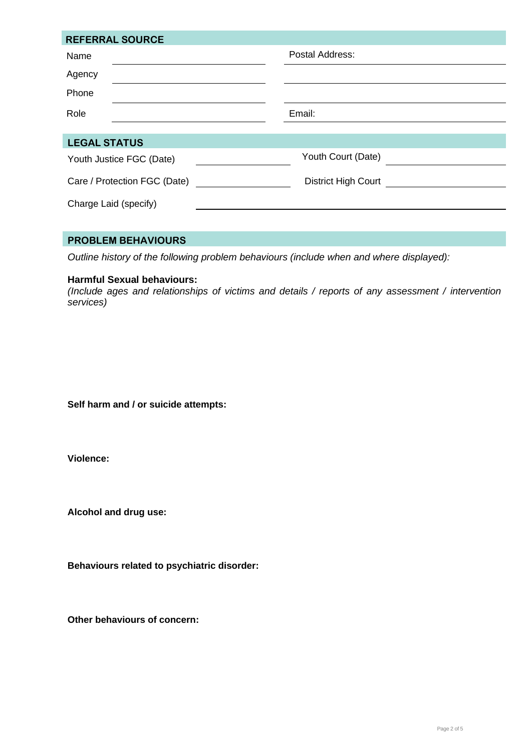| <b>REFERRAL SOURCE</b>       |                     |
|------------------------------|---------------------|
| Name                         | Postal Address:     |
| Agency                       |                     |
| Phone                        |                     |
| Role                         | Email:              |
|                              |                     |
| <b>LEGAL STATUS</b>          |                     |
| Youth Justice FGC (Date)     | Youth Court (Date)  |
| Care / Protection FGC (Date) | District High Court |
| Charge Laid (specify)        |                     |
|                              |                     |

## **PROBLEM BEHAVIOURS**

*Outline history of the following problem behaviours (include when and where displayed):*

#### **Harmful Sexual behaviours:**

*(Include ages and relationships of victims and details / reports of any assessment / intervention services)*

**Self harm and / or suicide attempts:**

**Violence:**

**Alcohol and drug use:**

**Behaviours related to psychiatric disorder:**

**Other behaviours of concern:**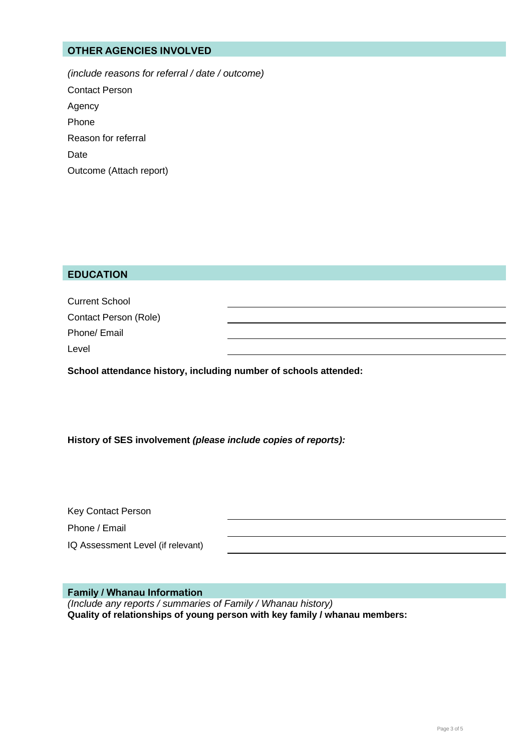# **OTHER AGENCIES INVOLVED**

*(include reasons for referral / date / outcome)* Contact Person Agency Phone Reason for referral Date Outcome (Attach report)

## **EDUCATION**

| <b>Current School</b> |  |
|-----------------------|--|
| Contact Person (Role) |  |
| Phone/ Email          |  |
| Level                 |  |
|                       |  |

**School attendance history, including number of schools attended:**

**History of SES involvement** *(please include copies of reports):*

| Key Contact Person                |  |
|-----------------------------------|--|
| Phone / Email                     |  |
| IQ Assessment Level (if relevant) |  |

**Family / Whanau Information**

*(Include any reports / summaries of Family / Whanau history)* **Quality of relationships of young person with key family / whanau members:**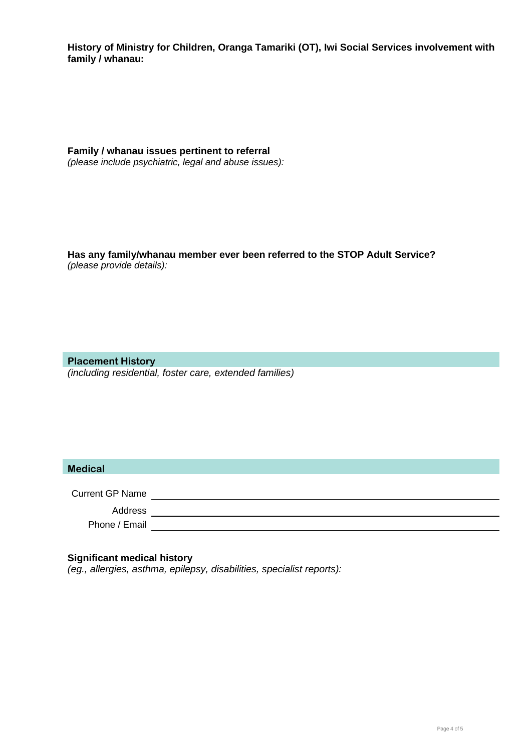**History of Ministry for Children, Oranga Tamariki (OT), Iwi Social Services involvement with family / whanau:**

**Family / whanau issues pertinent to referral**  *(please include psychiatric, legal and abuse issues):*

**Has any family/whanau member ever been referred to the STOP Adult Service?** *(please provide details):*

**Placement History** *(including residential, foster care, extended families)*

## **Medical**

Current GP Name

<u> 1989 - Johann Barn, mars eta bainar eta idazlea (</u> Address

Phone / Email **Exercise 2018** 

#### **Significant medical history**

*(eg., allergies, asthma, epilepsy, disabilities, specialist reports):*